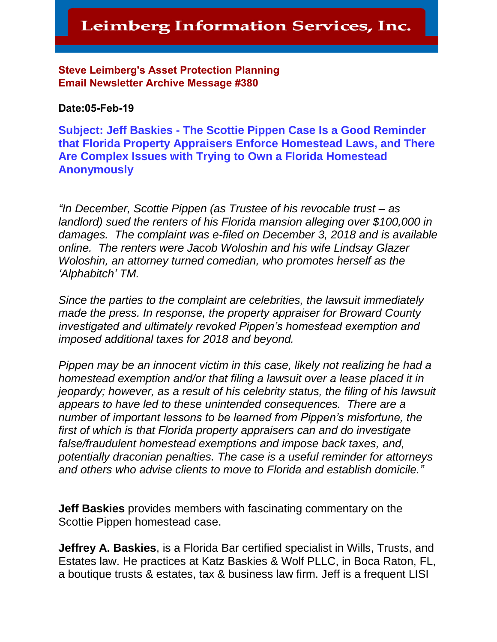#### Steve Leimberg's Asset Protection Planning **Email Newsletter Archive Message #380**

#### **Date:05-Feb-19**

**Subject: Jeff Baskies - The Scottie Pippen Case Is a Good Reminder that Florida Property Appraisers Enforce Homestead Laws, and There Are Complex Issues with Trying to Own a Florida Homestead Anonymously** 

*"In December, Scottie Pippen (as Trustee of his revocable trust – as landlord) sued the renters of his Florida mansion alleging over \$100,000 in damages. The complaint was e-filed on December 3, 2018 and is available online. The renters were Jacob Woloshin and his wife Lindsay Glazer Woloshin, an attorney turned comedian, who promotes herself as the 'Alphabitch' TM.*

*Since the parties to the complaint are celebrities, the lawsuit immediately made the press. In response, the property appraiser for Broward County investigated and ultimately revoked Pippen's homestead exemption and imposed additional taxes for 2018 and beyond.*

*Pippen may be an innocent victim in this case, likely not realizing he had a homestead exemption and/or that filing a lawsuit over a lease placed it in jeopardy; however, as a result of his celebrity status, the filing of his lawsuit appears to have led to these unintended consequences. There are a number of important lessons to be learned from Pippen's misfortune, the first of which is that Florida property appraisers can and do investigate false/fraudulent homestead exemptions and impose back taxes, and, potentially draconian penalties. The case is a useful reminder for attorneys and others who advise clients to move to Florida and establish domicile."*

**Jeff Baskies** provides members with fascinating commentary on the Scottie Pippen homestead case.

**Jeffrey A. Baskies**, is a Florida Bar certified specialist in Wills, Trusts, and Estates law. He practices at Katz Baskies & Wolf PLLC, in Boca Raton, FL, a boutique trusts & estates, tax & business law firm. Jeff is a frequent LISI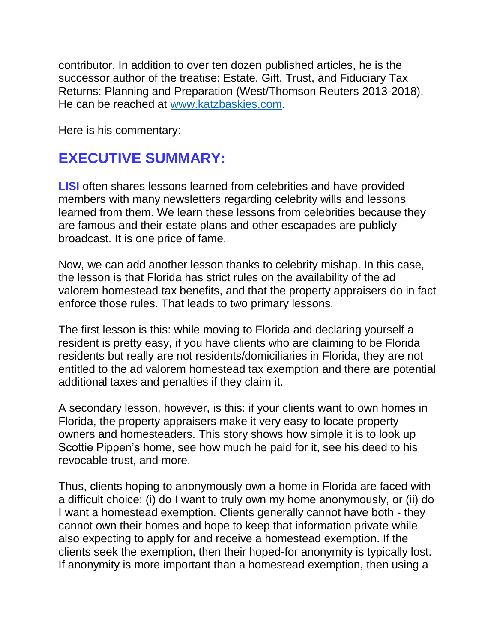contributor. In addition to over ten dozen published articles, he is the successor author of the treatise: Estate, Gift, Trust, and Fiduciary Tax Returns: Planning and Preparation (West/Thomson Reuters 2013-2018). He can be reached at [www.katzbaskies.com.](http://www.katzbaskies.com/)

Here is his commentary:

## **EXECUTIVE SUMMARY:**

**LISI** often shares lessons learned from celebrities and have provided members with many newsletters regarding celebrity wills and lessons learned from them. We learn these lessons from celebrities because they are famous and their estate plans and other escapades are publicly broadcast. It is one price of fame.

Now, we can add another lesson thanks to celebrity mishap. In this case, the lesson is that Florida has strict rules on the availability of the ad valorem homestead tax benefits, and that the property appraisers do in fact enforce those rules. That leads to two primary lessons.

The first lesson is this: while moving to Florida and declaring yourself a resident is pretty easy, if you have clients who are claiming to be Florida residents but really are not residents/domiciliaries in Florida, they are not entitled to the ad valorem homestead tax exemption and there are potential additional taxes and penalties if they claim it.

A secondary lesson, however, is this: if your clients want to own homes in Florida, the property appraisers make it very easy to locate property owners and homesteaders. This story shows how simple it is to look up Scottie Pippen's home, see how much he paid for it, see his deed to his revocable trust, and more.

Thus, clients hoping to anonymously own a home in Florida are faced with a difficult choice: (i) do I want to truly own my home anonymously, or (ii) do I want a homestead exemption. Clients generally cannot have both - they cannot own their homes and hope to keep that information private while also expecting to apply for and receive a homestead exemption. If the clients seek the exemption, then their hoped-for anonymity is typically lost. If anonymity is more important than a homestead exemption, then using a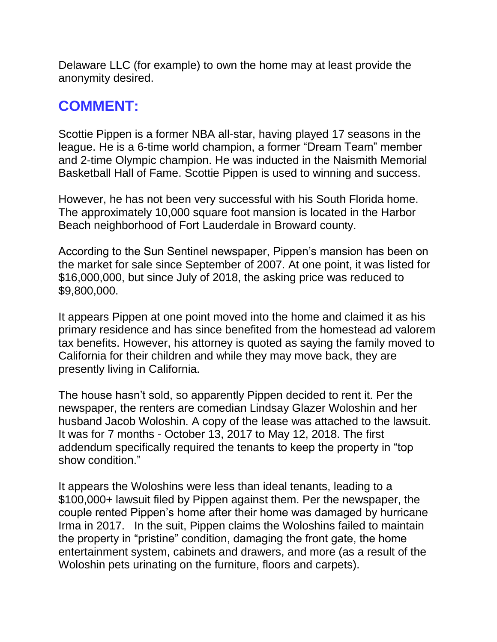Delaware LLC (for example) to own the home may at least provide the anonymity desired.

## **COMMENT:**

Scottie Pippen is a former NBA all-star, having played 17 seasons in the league. He is a 6-time world champion, a former "Dream Team" member and 2-time Olympic champion. He was inducted in the Naismith Memorial Basketball Hall of Fame. Scottie Pippen is used to winning and success.

However, he has not been very successful with his South Florida home. The approximately 10,000 square foot mansion is located in the Harbor Beach neighborhood of Fort Lauderdale in Broward county.

According to the Sun Sentinel newspaper, Pippen's mansion has been on the market for sale since September of 2007. At one point, it was listed for \$16,000,000, but since July of 2018, the asking price was reduced to \$9,800,000.

It appears Pippen at one point moved into the home and claimed it as his primary residence and has since benefited from the homestead ad valorem tax benefits. However, his attorney is quoted as saying the family moved to California for their children and while they may move back, they are presently living in California.

The house hasn't sold, so apparently Pippen decided to rent it. Per the newspaper, the renters are comedian Lindsay Glazer Woloshin and her husband Jacob Woloshin. A copy of the lease was attached to the lawsuit. It was for 7 months - October 13, 2017 to May 12, 2018. The first addendum specifically required the tenants to keep the property in "top show condition."

It appears the Woloshins were less than ideal tenants, leading to a \$100,000+ lawsuit filed by Pippen against them. Per the newspaper, the couple rented Pippen's home after their home was damaged by hurricane Irma in 2017. In the suit, Pippen claims the Woloshins failed to maintain the property in "pristine" condition, damaging the front gate, the home entertainment system, cabinets and drawers, and more (as a result of the Woloshin pets urinating on the furniture, floors and carpets).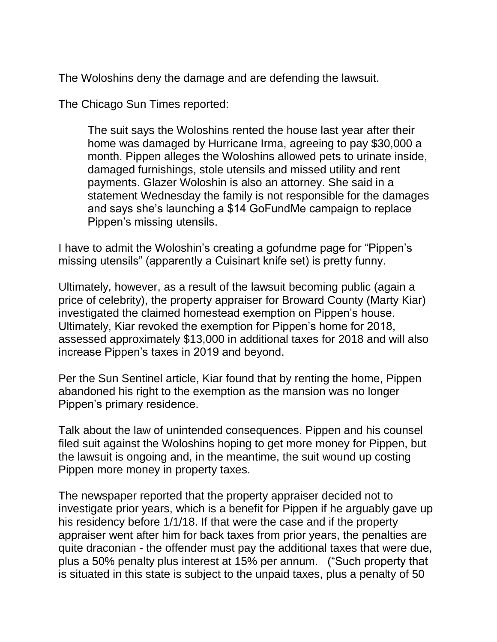The Woloshins deny the damage and are defending the lawsuit.

The Chicago Sun Times reported:

The suit says the Woloshins rented the house last year after their home was damaged by Hurricane Irma, agreeing to pay \$30,000 a month. Pippen alleges the Woloshins allowed pets to urinate inside, damaged furnishings, stole utensils and missed utility and rent payments. Glazer Woloshin is also an attorney. She said in a statement Wednesday the family is not responsible for the damages and says she's launching a \$14 GoFundMe campaign to replace Pippen's missing utensils.

I have to admit the Woloshin's creating a gofundme page for "Pippen's missing utensils" (apparently a Cuisinart knife set) is pretty funny.

Ultimately, however, as a result of the lawsuit becoming public (again a price of celebrity), the property appraiser for Broward County (Marty Kiar) investigated the claimed homestead exemption on Pippen's house. Ultimately, Kiar revoked the exemption for Pippen's home for 2018, assessed approximately \$13,000 in additional taxes for 2018 and will also increase Pippen's taxes in 2019 and beyond.

Per the Sun Sentinel article, Kiar found that by renting the home, Pippen abandoned his right to the exemption as the mansion was no longer Pippen's primary residence.

Talk about the law of unintended consequences. Pippen and his counsel filed suit against the Woloshins hoping to get more money for Pippen, but the lawsuit is ongoing and, in the meantime, the suit wound up costing Pippen more money in property taxes.

The newspaper reported that the property appraiser decided not to investigate prior years, which is a benefit for Pippen if he arguably gave up his residency before 1/1/18. If that were the case and if the property appraiser went after him for back taxes from prior years, the penalties are quite draconian - the offender must pay the additional taxes that were due, plus a 50% penalty plus interest at 15% per annum. ("Such property that is situated in this state is subject to the unpaid taxes, plus a penalty of 50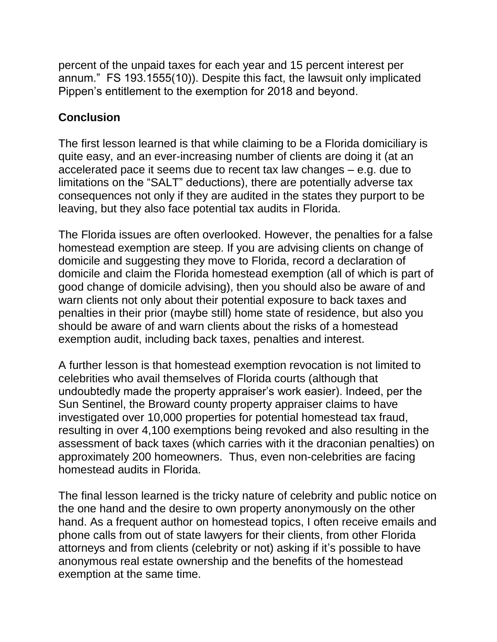percent of the unpaid taxes for each year and 15 percent interest per annum." FS 193.1555(10)). Despite this fact, the lawsuit only implicated Pippen's entitlement to the exemption for 2018 and beyond.

### **Conclusion**

The first lesson learned is that while claiming to be a Florida domiciliary is quite easy, and an ever-increasing number of clients are doing it (at an accelerated pace it seems due to recent tax law changes – e.g. due to limitations on the "SALT" deductions), there are potentially adverse tax consequences not only if they are audited in the states they purport to be leaving, but they also face potential tax audits in Florida.

The Florida issues are often overlooked. However, the penalties for a false homestead exemption are steep. If you are advising clients on change of domicile and suggesting they move to Florida, record a declaration of domicile and claim the Florida homestead exemption (all of which is part of good change of domicile advising), then you should also be aware of and warn clients not only about their potential exposure to back taxes and penalties in their prior (maybe still) home state of residence, but also you should be aware of and warn clients about the risks of a homestead exemption audit, including back taxes, penalties and interest.

A further lesson is that homestead exemption revocation is not limited to celebrities who avail themselves of Florida courts (although that undoubtedly made the property appraiser's work easier). Indeed, per the Sun Sentinel, the Broward county property appraiser claims to have investigated over 10,000 properties for potential homestead tax fraud, resulting in over 4,100 exemptions being revoked and also resulting in the assessment of back taxes (which carries with it the draconian penalties) on approximately 200 homeowners. Thus, even non-celebrities are facing homestead audits in Florida.

The final lesson learned is the tricky nature of celebrity and public notice on the one hand and the desire to own property anonymously on the other hand. As a frequent author on homestead topics, I often receive emails and phone calls from out of state lawyers for their clients, from other Florida attorneys and from clients (celebrity or not) asking if it's possible to have anonymous real estate ownership and the benefits of the homestead exemption at the same time.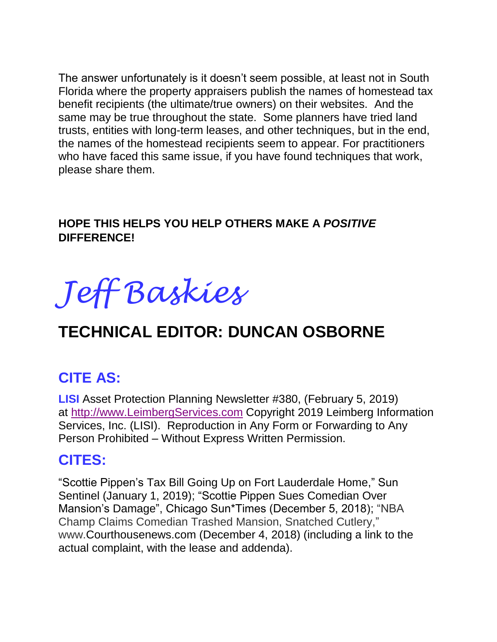The answer unfortunately is it doesn't seem possible, at least not in South Florida where the property appraisers publish the names of homestead tax benefit recipients (the ultimate/true owners) on their websites. And the same may be true throughout the state. Some planners have tried land trusts, entities with long-term leases, and other techniques, but in the end, the names of the homestead recipients seem to appear. For practitioners who have faced this same issue, if you have found techniques that work, please share them.

## **HOPE THIS HELPS YOU HELP OTHERS MAKE A** *POSITIVE*  **DIFFERENCE!**



# **TECHNICAL EDITOR: DUNCAN OSBORNE**

# **CITE AS:**

**LISI** Asset Protection Planning Newsletter #380, (February 5, 2019) at [http://www.LeimbergServices.com](http://www.leimbergservices.com/) Copyright 2019 Leimberg Information Services, Inc. (LISI). Reproduction in Any Form or Forwarding to Any Person Prohibited – Without Express Written Permission.

## **CITES:**

"Scottie Pippen's Tax Bill Going Up on Fort Lauderdale Home," Sun Sentinel (January 1, 2019); "Scottie Pippen Sues Comedian Over Mansion's Damage", Chicago Sun\*Times (December 5, 2018); "NBA Champ Claims Comedian Trashed Mansion, Snatched Cutlery," www.Courthousenews.com (December 4, 2018) (including a link to the actual complaint, with the lease and addenda).